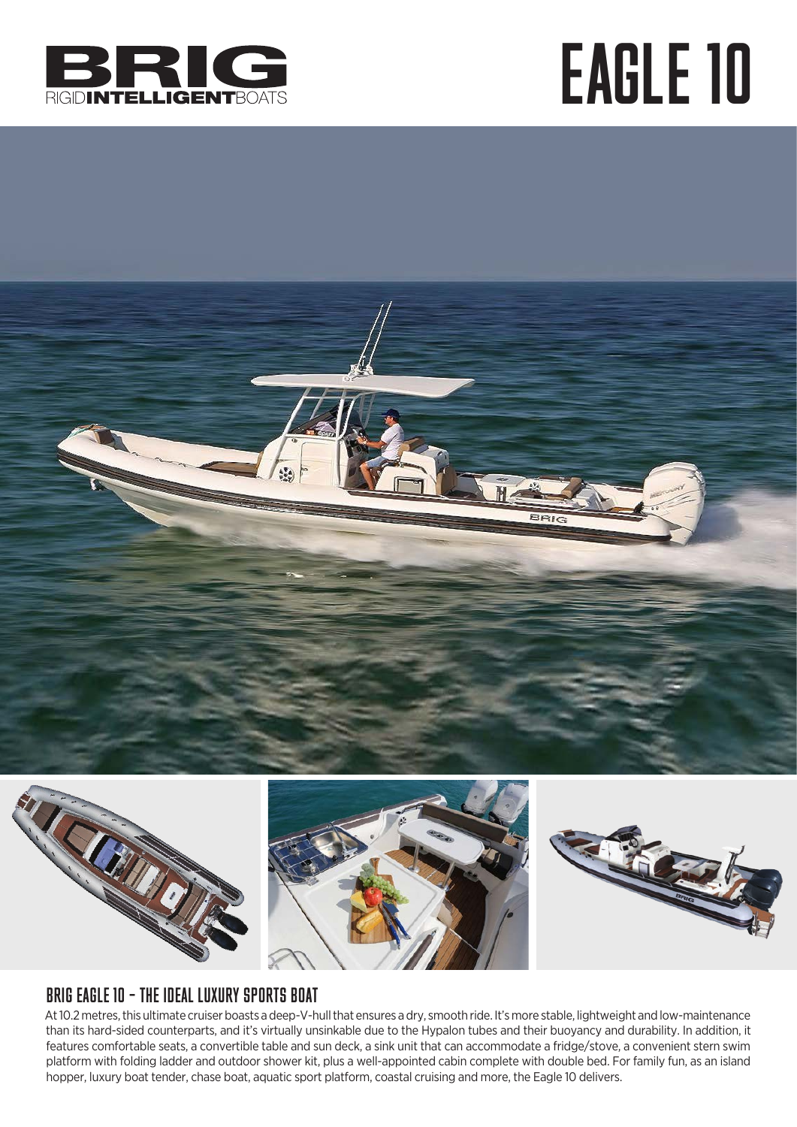

## EAGLE 10









## BRIG EAGLE 10 – THE IDEAL LUXURY SPORTS BOAT

At 10.2 metres, this ultimate cruiser boasts a deep-V-hull that ensures a dry, smooth ride. It's more stable, lightweight and low-maintenance than its hard-sided counterparts, and it's virtually unsinkable due to the Hypalon tubes and their buoyancy and durability. In addition, it features comfortable seats, a convertible table and sun deck, a sink unit that can accommodate a fridge/stove, a convenient stern swim platform with folding ladder and outdoor shower kit, plus a well-appointed cabin complete with double bed. For family fun, as an island hopper, luxury boat tender, chase boat, aquatic sport platform, coastal cruising and more, the Eagle 10 delivers.